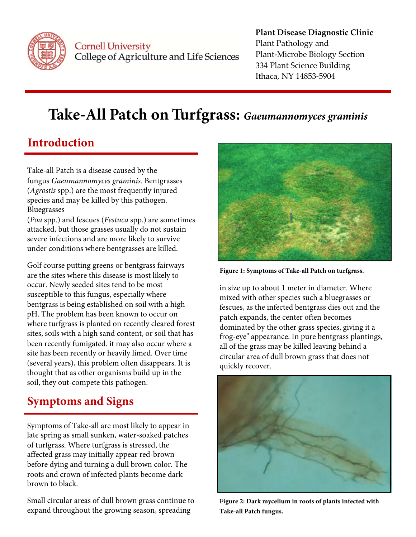

Cornell University College of Agriculture and Life Sciences

#### **Plant Disease Diagnostic Clinic** Plant Pathology and Plant‐Microbe Biology Section 334 Plant Science Building Ithaca, NY 14853‐5904

# **Take-All Patch on Turfgrass:** *Gaeumannomyces graminis*

### **Introduction**

Take-all Patch is a disease caused by the fungus *Gaeumannomyces graminis*. Bentgrasses (*Agrostis* spp.) are the most frequently injured species and may be killed by this pathogen. Bluegrasses

(*Poa* spp.) and fescues (*Festuca* spp.) are sometimes attacked, but those grasses usually do not sustain severe infections and are more likely to survive under conditions where bentgrasses are killed.

Golf course putting greens or bentgrass fairways are the sites where this disease is most likely to occur. Newly seeded sites tend to be most susceptible to this fungus, especially where bentgrass is being established on soil with a high pH. The problem has been known to occur on where turfgrass is planted on recently cleared forest sites, soils with a high sand content, or soil that has been recently fumigated. it may also occur where a site has been recently or heavily limed. Over time (several years), this problem often disappears. It is thought that as other organisms build up in the soil, they out-compete this pathogen.

## **Symptoms and Signs**

 before dying and turning a dull brown color. The Symptoms of Take-all are most likely to appear in late spring as small sunken, water-soaked patches of turfgrass. Where turfgrass is stressed, the affected grass may initially appear red-brown roots and crown of infected plants become dark brown to black.

Small circular areas of dull brown grass continue to expand throughout the growing season, spreading



**Figure 1: Symptoms of Take‐all Patch on turfgrass.**

in size up to about 1 meter in diameter. Where mixed with other species such a bluegrasses or fescues, as the infected bentgrass dies out and the patch expands, the center often becomes dominated by the other grass species, giving it a frog-eye" appearance. In pure bentgrass plantings, all of the grass may be killed leaving behind a circular area of dull brown grass that does not quickly recover.



**Figure 2: Dark mycelium in roots of plants infected with Take‐all Patch fungus.**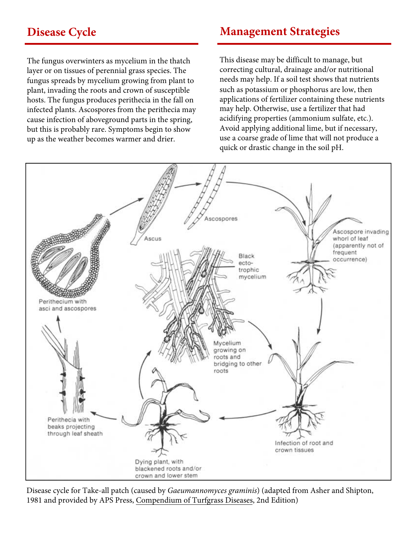#### **Disease Cycle**

The fungus overwinters as mycelium in the thatch layer or on tissues of perennial grass species. The fungus spreads by mycelium growing from plant to plant, invading the roots and crown of susceptible hosts. The fungus produces perithecia in the fall on infected plants. Ascospores from the perithecia may cause infection of aboveground parts in the spring, but this is probably rare. Symptoms begin to show up as the weather becomes warmer and drier.

#### **Management Strategies**

This disease may be difficult to manage, but correcting cultural, drainage and/or nutritional needs may help. If a soil test shows that nutrients such as potassium or phosphorus are low, then applications of fertilizer containing these nutrients may help. Otherwise, use a fertilizer that had acidifying properties (ammonium sulfate, etc.). Avoid applying additional lime, but if necessary, use a coarse grade of lime that will not produce a quick or drastic change in the soil pH.



Disease cycle for Take-all patch (caused by Gaeumannomyces graminis) (adapted from Asher and Shipton, 1981 and provided by APS Press, Compendium of Turfgrass Diseases, 2nd Edition)